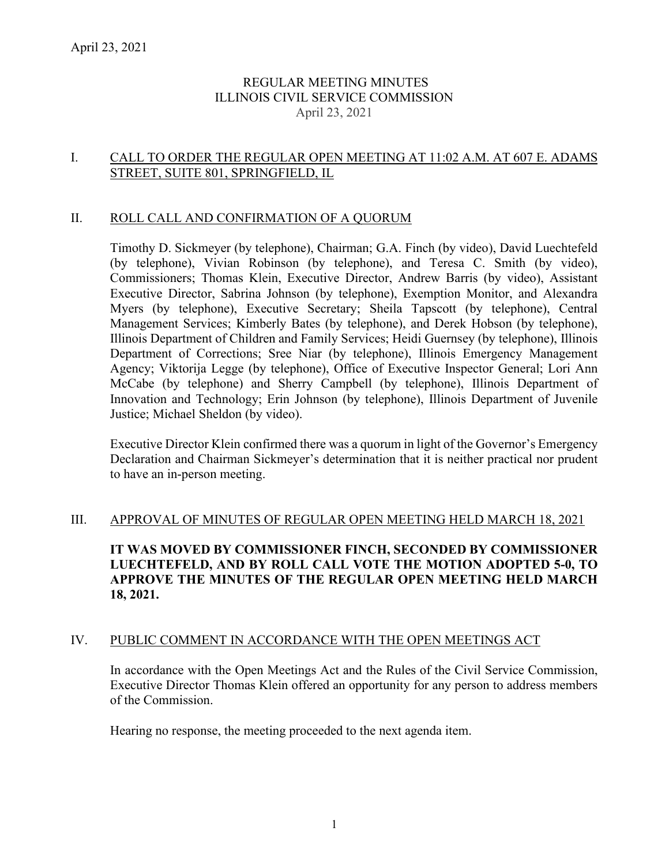# REGULAR MEETING MINUTES ILLINOIS CIVIL SERVICE COMMISSION April 23, 2021

## I. CALL TO ORDER THE REGULAR OPEN MEETING AT 11:02 A.M. AT 607 E. ADAMS STREET, SUITE 801, SPRINGFIELD, IL

### II. ROLL CALL AND CONFIRMATION OF A QUORUM

Timothy D. Sickmeyer (by telephone), Chairman; G.A. Finch (by video), David Luechtefeld (by telephone), Vivian Robinson (by telephone), and Teresa C. Smith (by video), Commissioners; Thomas Klein, Executive Director, Andrew Barris (by video), Assistant Executive Director, Sabrina Johnson (by telephone), Exemption Monitor, and Alexandra Myers (by telephone), Executive Secretary; Sheila Tapscott (by telephone), Central Management Services; Kimberly Bates (by telephone), and Derek Hobson (by telephone), Illinois Department of Children and Family Services; Heidi Guernsey (by telephone), Illinois Department of Corrections; Sree Niar (by telephone), Illinois Emergency Management Agency; Viktorija Legge (by telephone), Office of Executive Inspector General; Lori Ann McCabe (by telephone) and Sherry Campbell (by telephone), Illinois Department of Innovation and Technology; Erin Johnson (by telephone), Illinois Department of Juvenile Justice; Michael Sheldon (by video).

Executive Director Klein confirmed there was a quorum in light of the Governor's Emergency Declaration and Chairman Sickmeyer's determination that it is neither practical nor prudent to have an in-person meeting.

### III. APPROVAL OF MINUTES OF REGULAR OPEN MEETING HELD MARCH 18, 2021

**IT WAS MOVED BY COMMISSIONER FINCH, SECONDED BY COMMISSIONER LUECHTEFELD, AND BY ROLL CALL VOTE THE MOTION ADOPTED 5-0, TO APPROVE THE MINUTES OF THE REGULAR OPEN MEETING HELD MARCH 18, 2021.**

### IV. PUBLIC COMMENT IN ACCORDANCE WITH THE OPEN MEETINGS ACT

In accordance with the Open Meetings Act and the Rules of the Civil Service Commission, Executive Director Thomas Klein offered an opportunity for any person to address members of the Commission.

Hearing no response, the meeting proceeded to the next agenda item.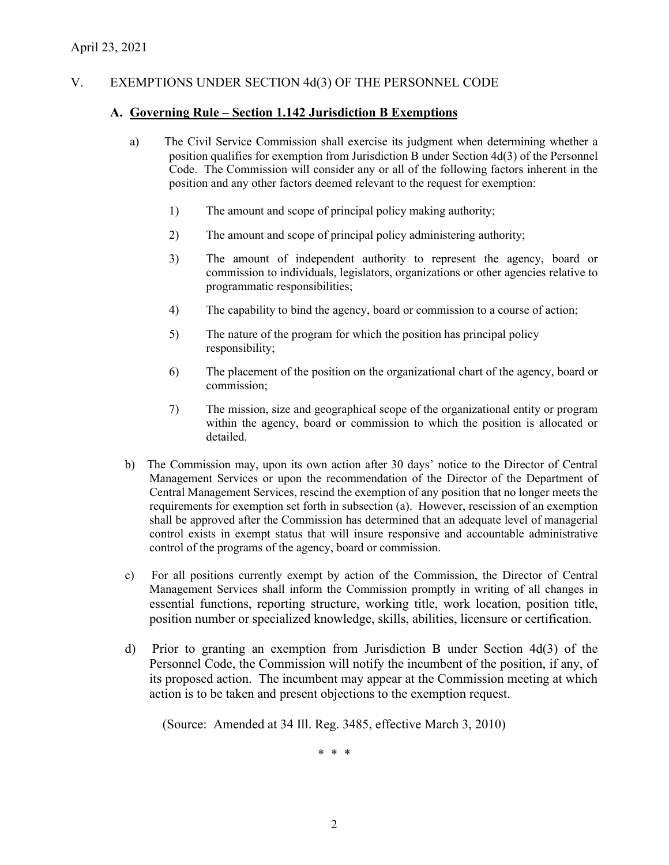# V. EXEMPTIONS UNDER SECTION 4d(3) OF THE PERSONNEL CODE

#### **A. Governing Rule – Section 1.142 Jurisdiction B Exemptions**

- a) The Civil Service Commission shall exercise its judgment when determining whether a position qualifies for exemption from Jurisdiction B under Section 4d(3) of the Personnel Code. The Commission will consider any or all of the following factors inherent in the position and any other factors deemed relevant to the request for exemption:
	- 1) The amount and scope of principal policy making authority;
	- 2) The amount and scope of principal policy administering authority;
	- 3) The amount of independent authority to represent the agency, board or commission to individuals, legislators, organizations or other agencies relative to programmatic responsibilities;
	- 4) The capability to bind the agency, board or commission to a course of action;
	- 5) The nature of the program for which the position has principal policy responsibility;
	- 6) The placement of the position on the organizational chart of the agency, board or commission;
	- 7) The mission, size and geographical scope of the organizational entity or program within the agency, board or commission to which the position is allocated or detailed.
- b) The Commission may, upon its own action after 30 days' notice to the Director of Central Management Services or upon the recommendation of the Director of the Department of Central Management Services, rescind the exemption of any position that no longer meets the requirements for exemption set forth in subsection (a). However, rescission of an exemption shall be approved after the Commission has determined that an adequate level of managerial control exists in exempt status that will insure responsive and accountable administrative control of the programs of the agency, board or commission.
- c) For all positions currently exempt by action of the Commission, the Director of Central Management Services shall inform the Commission promptly in writing of all changes in essential functions, reporting structure, working title, work location, position title, position number or specialized knowledge, skills, abilities, licensure or certification.
- d) Prior to granting an exemption from Jurisdiction B under Section 4d(3) of the Personnel Code, the Commission will notify the incumbent of the position, if any, of its proposed action. The incumbent may appear at the Commission meeting at which action is to be taken and present objections to the exemption request.

(Source: Amended at 34 Ill. Reg. 3485, effective March 3, 2010)

\* \* \*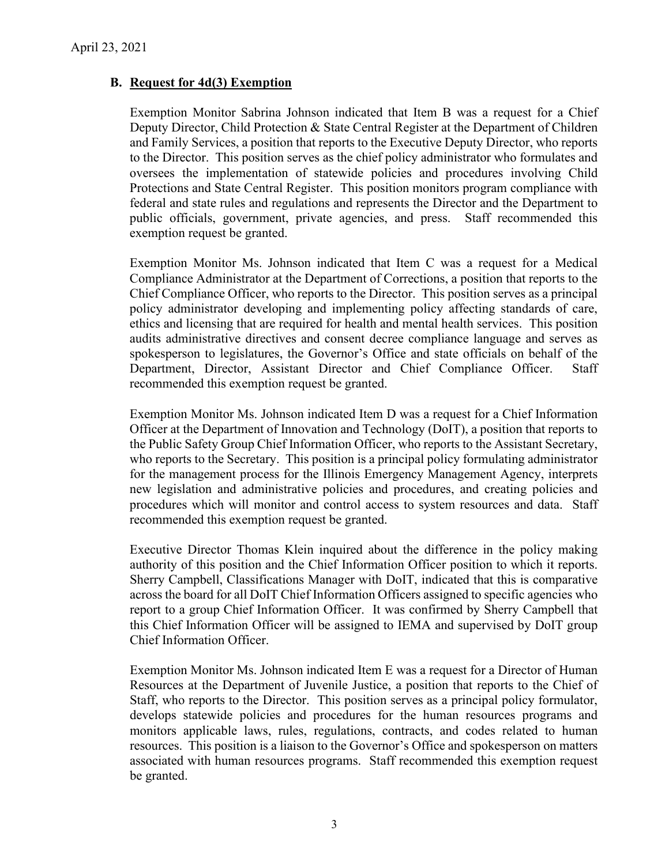## **B. Request for 4d(3) Exemption**

Exemption Monitor Sabrina Johnson indicated that Item B was a request for a Chief Deputy Director, Child Protection & State Central Register at the Department of Children and Family Services, a position that reports to the Executive Deputy Director, who reports to the Director. This position serves as the chief policy administrator who formulates and oversees the implementation of statewide policies and procedures involving Child Protections and State Central Register. This position monitors program compliance with federal and state rules and regulations and represents the Director and the Department to public officials, government, private agencies, and press. Staff recommended this exemption request be granted.

Exemption Monitor Ms. Johnson indicated that Item C was a request for a Medical Compliance Administrator at the Department of Corrections, a position that reports to the Chief Compliance Officer, who reports to the Director. This position serves as a principal policy administrator developing and implementing policy affecting standards of care, ethics and licensing that are required for health and mental health services. This position audits administrative directives and consent decree compliance language and serves as spokesperson to legislatures, the Governor's Office and state officials on behalf of the Department, Director, Assistant Director and Chief Compliance Officer. Staff recommended this exemption request be granted.

Exemption Monitor Ms. Johnson indicated Item D was a request for a Chief Information Officer at the Department of Innovation and Technology (DoIT), a position that reports to the Public Safety Group Chief Information Officer, who reports to the Assistant Secretary, who reports to the Secretary. This position is a principal policy formulating administrator for the management process for the Illinois Emergency Management Agency, interprets new legislation and administrative policies and procedures, and creating policies and procedures which will monitor and control access to system resources and data. Staff recommended this exemption request be granted.

Executive Director Thomas Klein inquired about the difference in the policy making authority of this position and the Chief Information Officer position to which it reports. Sherry Campbell, Classifications Manager with DoIT, indicated that this is comparative across the board for all DoIT Chief Information Officers assigned to specific agencies who report to a group Chief Information Officer. It was confirmed by Sherry Campbell that this Chief Information Officer will be assigned to IEMA and supervised by DoIT group Chief Information Officer.

Exemption Monitor Ms. Johnson indicated Item E was a request for a Director of Human Resources at the Department of Juvenile Justice, a position that reports to the Chief of Staff, who reports to the Director. This position serves as a principal policy formulator, develops statewide policies and procedures for the human resources programs and monitors applicable laws, rules, regulations, contracts, and codes related to human resources. This position is a liaison to the Governor's Office and spokesperson on matters associated with human resources programs. Staff recommended this exemption request be granted.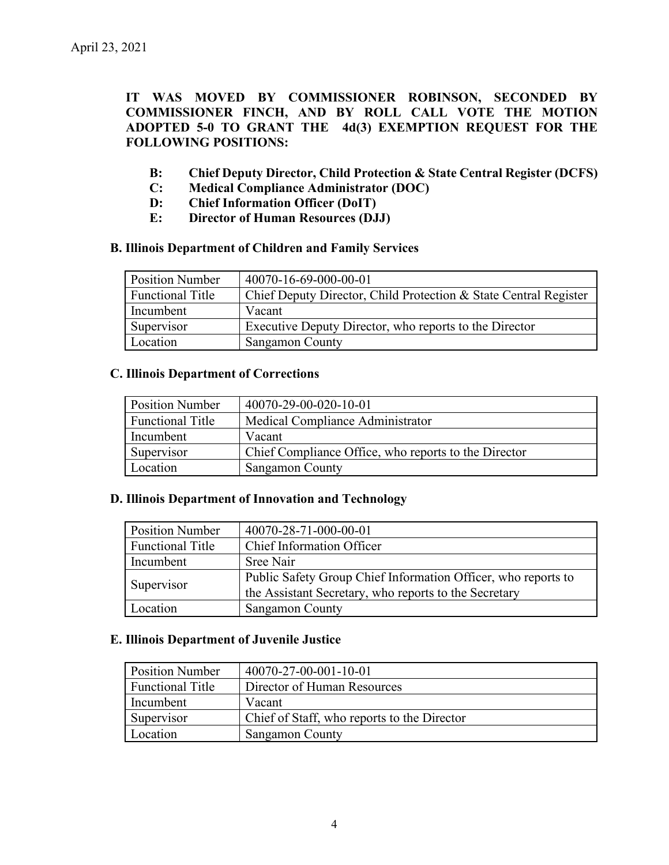**IT WAS MOVED BY COMMISSIONER ROBINSON, SECONDED BY COMMISSIONER FINCH, AND BY ROLL CALL VOTE THE MOTION ADOPTED 5-0 TO GRANT THE 4d(3) EXEMPTION REQUEST FOR THE FOLLOWING POSITIONS:**

- **B: Chief Deputy Director, Child Protection & State Central Register (DCFS)**
- **C: Medical Compliance Administrator (DOC)**
- **D: Chief Information Officer (DoIT)**
- **E: Director of Human Resources (DJJ)**

### **B. Illinois Department of Children and Family Services**

| <b>Position Number</b>  | 40070-16-69-000-00-01                                            |
|-------------------------|------------------------------------------------------------------|
| <b>Functional Title</b> | Chief Deputy Director, Child Protection & State Central Register |
| Incumbent               | Vacant                                                           |
| Supervisor              | Executive Deputy Director, who reports to the Director           |
| Location                | <b>Sangamon County</b>                                           |

## **C. Illinois Department of Corrections**

| <b>Position Number</b>  | 40070-29-00-020-10-01                                |
|-------------------------|------------------------------------------------------|
| <b>Functional Title</b> | Medical Compliance Administrator                     |
| Incumbent               | Vacant                                               |
| Supervisor              | Chief Compliance Office, who reports to the Director |
| Location                | <b>Sangamon County</b>                               |

### **D. Illinois Department of Innovation and Technology**

| <b>Position Number</b>  | 40070-28-71-000-00-01                                         |
|-------------------------|---------------------------------------------------------------|
| <b>Functional Title</b> | Chief Information Officer                                     |
| Incumbent               | Sree Nair                                                     |
|                         | Public Safety Group Chief Information Officer, who reports to |
| Supervisor              | the Assistant Secretary, who reports to the Secretary         |
| Location                | <b>Sangamon County</b>                                        |

### **E. Illinois Department of Juvenile Justice**

| <b>Position Number</b>  | 40070-27-00-001-10-01                       |
|-------------------------|---------------------------------------------|
| <b>Functional Title</b> | Director of Human Resources                 |
| Incumbent               | Vacant                                      |
| Supervisor              | Chief of Staff, who reports to the Director |
| Location                | <b>Sangamon County</b>                      |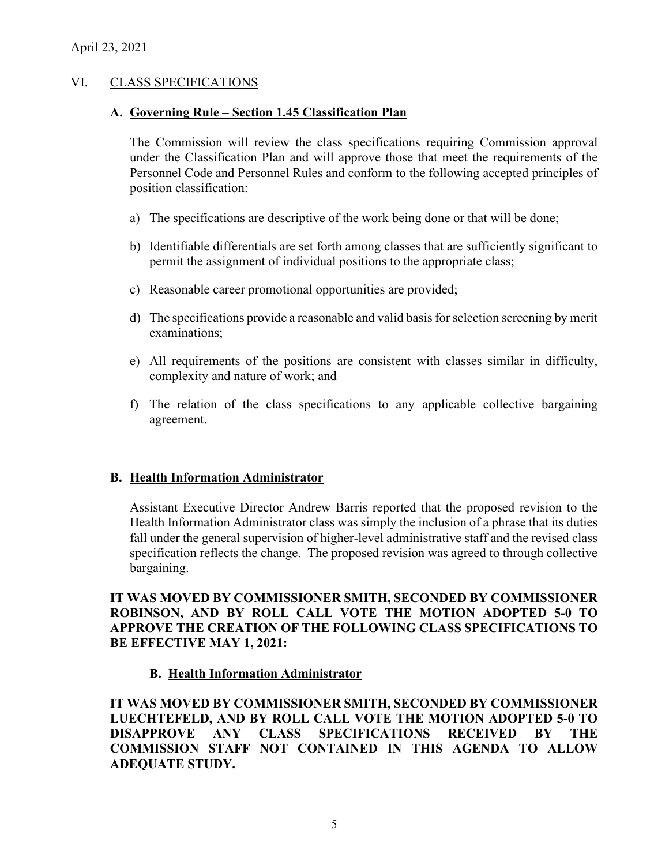## VI. CLASS SPECIFICATIONS

### **A. Governing Rule – Section 1.45 Classification Plan**

The Commission will review the class specifications requiring Commission approval under the Classification Plan and will approve those that meet the requirements of the Personnel Code and Personnel Rules and conform to the following accepted principles of position classification:

- a) The specifications are descriptive of the work being done or that will be done;
- b) Identifiable differentials are set forth among classes that are sufficiently significant to permit the assignment of individual positions to the appropriate class;
- c) Reasonable career promotional opportunities are provided;
- d) The specifications provide a reasonable and valid basis for selection screening by merit examinations;
- e) All requirements of the positions are consistent with classes similar in difficulty, complexity and nature of work; and
- f) The relation of the class specifications to any applicable collective bargaining agreement.

### **B. Health Information Administrator**

Assistant Executive Director Andrew Barris reported that the proposed revision to the Health Information Administrator class was simply the inclusion of a phrase that its duties fall under the general supervision of higher-level administrative staff and the revised class specification reflects the change. The proposed revision was agreed to through collective bargaining.

**IT WAS MOVED BY COMMISSIONER SMITH, SECONDED BY COMMISSIONER ROBINSON, AND BY ROLL CALL VOTE THE MOTION ADOPTED 5-0 TO APPROVE THE CREATION OF THE FOLLOWING CLASS SPECIFICATIONS TO BE EFFECTIVE MAY 1, 2021:**

# **B. Health Information Administrator**

**IT WAS MOVED BY COMMISSIONER SMITH, SECONDED BY COMMISSIONER LUECHTEFELD, AND BY ROLL CALL VOTE THE MOTION ADOPTED 5-0 TO DISAPPROVE ANY CLASS SPECIFICATIONS RECEIVED BY THE COMMISSION STAFF NOT CONTAINED IN THIS AGENDA TO ALLOW ADEQUATE STUDY.**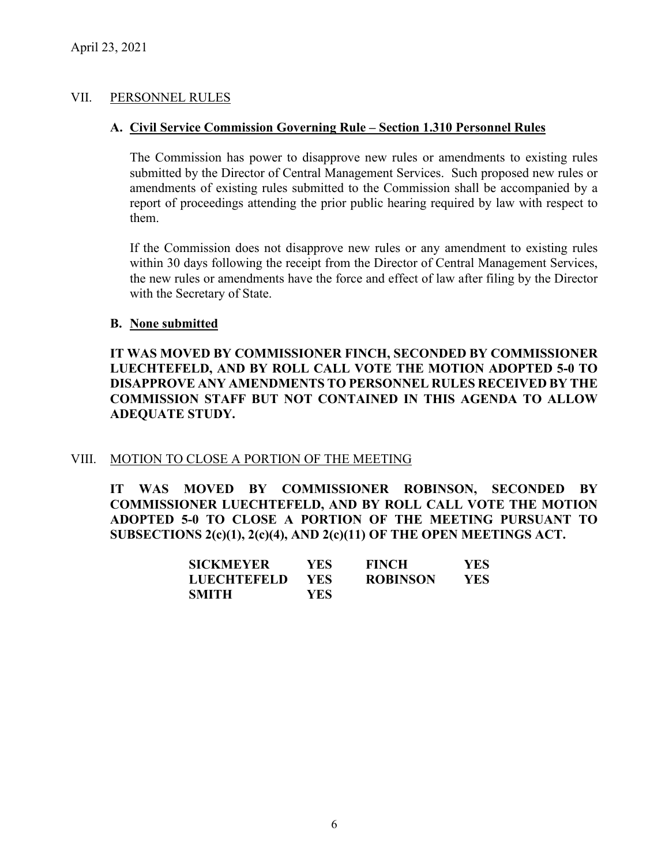## VII. PERSONNEL RULES

### **A. Civil Service Commission Governing Rule – Section 1.310 Personnel Rules**

The Commission has power to disapprove new rules or amendments to existing rules submitted by the Director of Central Management Services. Such proposed new rules or amendments of existing rules submitted to the Commission shall be accompanied by a report of proceedings attending the prior public hearing required by law with respect to them.

If the Commission does not disapprove new rules or any amendment to existing rules within 30 days following the receipt from the Director of Central Management Services, the new rules or amendments have the force and effect of law after filing by the Director with the Secretary of State.

### **B. None submitted**

**IT WAS MOVED BY COMMISSIONER FINCH, SECONDED BY COMMISSIONER LUECHTEFELD, AND BY ROLL CALL VOTE THE MOTION ADOPTED 5-0 TO DISAPPROVE ANY AMENDMENTS TO PERSONNEL RULES RECEIVED BY THE COMMISSION STAFF BUT NOT CONTAINED IN THIS AGENDA TO ALLOW ADEQUATE STUDY.** 

# VIII. MOTION TO CLOSE A PORTION OF THE MEETING

**IT WAS MOVED BY COMMISSIONER ROBINSON, SECONDED BY COMMISSIONER LUECHTEFELD, AND BY ROLL CALL VOTE THE MOTION ADOPTED 5-0 TO CLOSE A PORTION OF THE MEETING PURSUANT TO SUBSECTIONS 2(c)(1), 2(c)(4), AND 2(c)(11) OF THE OPEN MEETINGS ACT.**

| <b>SICKMEYER</b> | YES.       | <b>FINCH</b>    | YES. |
|------------------|------------|-----------------|------|
| LUECHTEFELD      | <b>YES</b> | <b>ROBINSON</b> | YES. |
| SMITH            | YES.       |                 |      |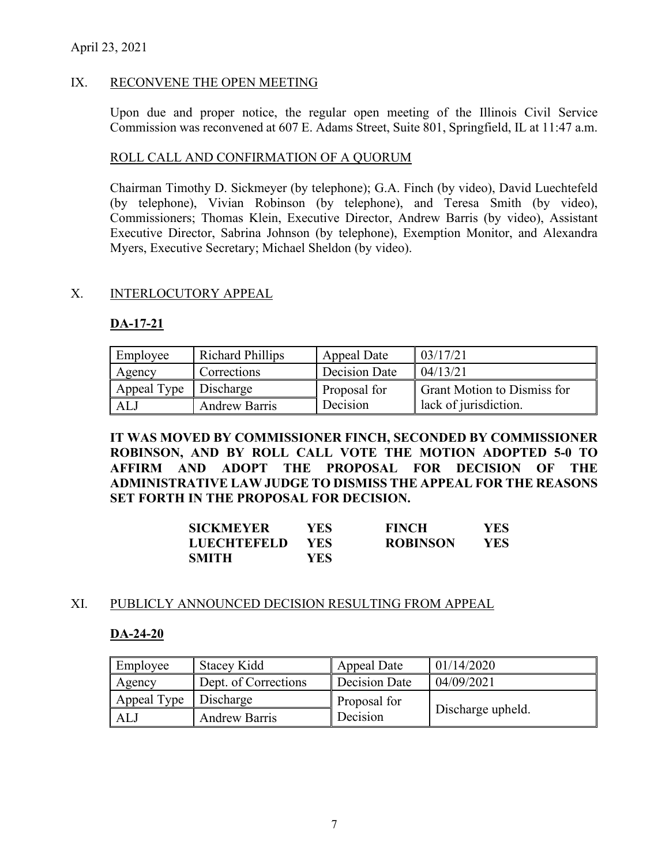# April 23, 2021

## IX. RECONVENE THE OPEN MEETING

Upon due and proper notice, the regular open meeting of the Illinois Civil Service Commission was reconvened at 607 E. Adams Street, Suite 801, Springfield, IL at 11:47 a.m.

### ROLL CALL AND CONFIRMATION OF A QUORUM

Chairman Timothy D. Sickmeyer (by telephone); G.A. Finch (by video), David Luechtefeld (by telephone), Vivian Robinson (by telephone), and Teresa Smith (by video), Commissioners; Thomas Klein, Executive Director, Andrew Barris (by video), Assistant Executive Director, Sabrina Johnson (by telephone), Exemption Monitor, and Alexandra Myers, Executive Secretary; Michael Sheldon (by video).

### X. INTERLOCUTORY APPEAL

## **DA-17-21**

| Employee    | <b>Richard Phillips</b> | Appeal Date   | 03/17/21                           |
|-------------|-------------------------|---------------|------------------------------------|
| Agency      | Corrections             | Decision Date | 04/13/21                           |
| Appeal Type | Discharge               | Proposal for  | <b>Grant Motion to Dismiss for</b> |
| AL J        | Andrew Barris           | Decision      | lack of jurisdiction.              |

**IT WAS MOVED BY COMMISSIONER FINCH, SECONDED BY COMMISSIONER ROBINSON, AND BY ROLL CALL VOTE THE MOTION ADOPTED 5-0 TO AFFIRM AND ADOPT THE PROPOSAL FOR DECISION OF THE ADMINISTRATIVE LAW JUDGE TO DISMISS THE APPEAL FOR THE REASONS SET FORTH IN THE PROPOSAL FOR DECISION.** 

| <b>SICKMEYER</b>   | YES- | <b>FINCH</b>    | YES |
|--------------------|------|-----------------|-----|
| <b>LUECHTEFELD</b> | YES- | <b>ROBINSON</b> | YES |
| <b>SMITH</b>       | YES  |                 |     |

### XI. PUBLICLY ANNOUNCED DECISION RESULTING FROM APPEAL

### **DA-24-20**

| Employee    | <b>Stacey Kidd</b>   | Appeal Date   | 01/14/2020        |
|-------------|----------------------|---------------|-------------------|
| Agency      | Dept. of Corrections | Decision Date | 04/09/2021        |
| Appeal Type | Discharge            | Proposal for  |                   |
| ALJ         | <b>Andrew Barris</b> | Decision      | Discharge upheld. |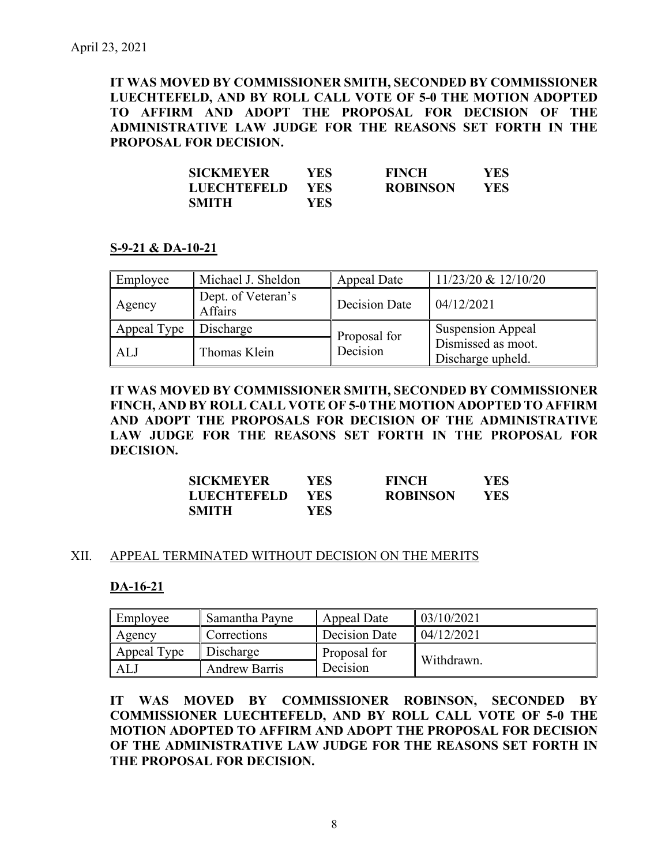**IT WAS MOVED BY COMMISSIONER SMITH, SECONDED BY COMMISSIONER LUECHTEFELD, AND BY ROLL CALL VOTE OF 5-0 THE MOTION ADOPTED TO AFFIRM AND ADOPT THE PROPOSAL FOR DECISION OF THE ADMINISTRATIVE LAW JUDGE FOR THE REASONS SET FORTH IN THE PROPOSAL FOR DECISION.** 

| <b>SICKMEYER</b>   | YES- | <b>FINCH</b>    | <b>YES</b> |
|--------------------|------|-----------------|------------|
| <b>LUECHTEFELD</b> | YES. | <b>ROBINSON</b> | YES        |
| <b>SMITH</b>       | YES- |                 |            |

### **S-9-21 & DA-10-21**

| Employee    | Michael J. Sheldon            | Appeal Date   | $11/23/20 \& 12/10/20$                  |
|-------------|-------------------------------|---------------|-----------------------------------------|
| Agency      | Dept. of Veteran's<br>Affairs | Decision Date | 04/12/2021                              |
| Appeal Type | Discharge                     | Proposal for  | <b>Suspension Appeal</b>                |
| ALJ         | Thomas Klein                  | Decision      | Dismissed as moot.<br>Discharge upheld. |

**IT WAS MOVED BY COMMISSIONER SMITH, SECONDED BY COMMISSIONER FINCH, AND BY ROLL CALL VOTE OF 5-0 THE MOTION ADOPTED TO AFFIRM AND ADOPT THE PROPOSALS FOR DECISION OF THE ADMINISTRATIVE LAW JUDGE FOR THE REASONS SET FORTH IN THE PROPOSAL FOR DECISION.** 

| <b>SICKMEYER</b>   | YES. | <b>FINCH</b>    | YES  |
|--------------------|------|-----------------|------|
| <b>LUECHTEFELD</b> | YES. | <b>ROBINSON</b> | YES. |
| <b>SMITH</b>       | YES  |                 |      |

### XII. APPEAL TERMINATED WITHOUT DECISION ON THE MERITS

### **DA-16-21**

| Employee    | Samantha Payne<br>Appeal Date |               | 03/10/2021 |
|-------------|-------------------------------|---------------|------------|
| Agency      | Corrections                   | Decision Date | 04/12/2021 |
| Appeal Type | Discharge                     | Proposal for  | Withdrawn. |
| AL.         | <b>Andrew Barris</b>          | Decision      |            |

**IT WAS MOVED BY COMMISSIONER ROBINSON, SECONDED BY COMMISSIONER LUECHTEFELD, AND BY ROLL CALL VOTE OF 5-0 THE MOTION ADOPTED TO AFFIRM AND ADOPT THE PROPOSAL FOR DECISION OF THE ADMINISTRATIVE LAW JUDGE FOR THE REASONS SET FORTH IN THE PROPOSAL FOR DECISION.**